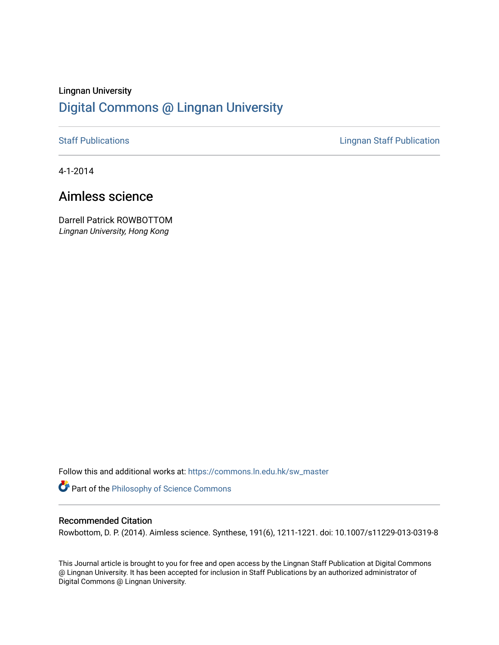# Lingnan University [Digital Commons @ Lingnan University](https://commons.ln.edu.hk/)

[Staff Publications](https://commons.ln.edu.hk/sw_master) **Staff Publications Lingnan Staff Publication** 

4-1-2014

# Aimless science

Darrell Patrick ROWBOTTOM Lingnan University, Hong Kong

Follow this and additional works at: [https://commons.ln.edu.hk/sw\\_master](https://commons.ln.edu.hk/sw_master?utm_source=commons.ln.edu.hk%2Fsw_master%2F1952&utm_medium=PDF&utm_campaign=PDFCoverPages) 

Part of the [Philosophy of Science Commons](http://network.bepress.com/hgg/discipline/536?utm_source=commons.ln.edu.hk%2Fsw_master%2F1952&utm_medium=PDF&utm_campaign=PDFCoverPages) 

## Recommended Citation

Rowbottom, D. P. (2014). Aimless science. Synthese, 191(6), 1211-1221. doi: 10.1007/s11229-013-0319-8

This Journal article is brought to you for free and open access by the Lingnan Staff Publication at Digital Commons @ Lingnan University. It has been accepted for inclusion in Staff Publications by an authorized administrator of Digital Commons @ Lingnan University.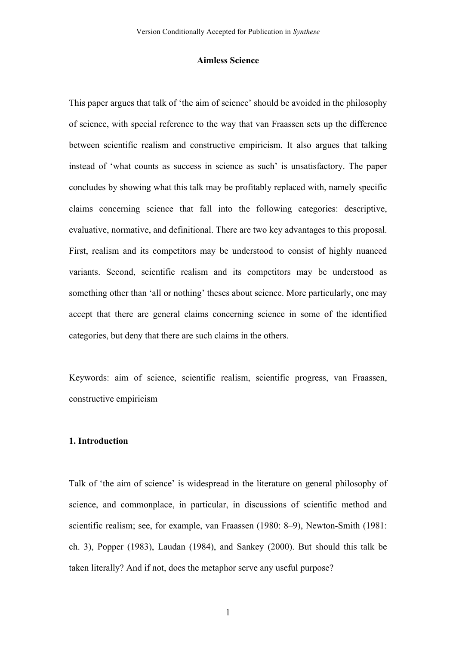#### **Aimless Science**

This paper argues that talk of 'the aim of science' should be avoided in the philosophy of science, with special reference to the way that van Fraassen sets up the difference between scientific realism and constructive empiricism. It also argues that talking instead of 'what counts as success in science as such' is unsatisfactory. The paper concludes by showing what this talk may be profitably replaced with, namely specific claims concerning science that fall into the following categories: descriptive, evaluative, normative, and definitional. There are two key advantages to this proposal. First, realism and its competitors may be understood to consist of highly nuanced variants. Second, scientific realism and its competitors may be understood as something other than 'all or nothing' theses about science. More particularly, one may accept that there are general claims concerning science in some of the identified categories, but deny that there are such claims in the others.

Keywords: aim of science, scientific realism, scientific progress, van Fraassen, constructive empiricism

## **1. Introduction**

Talk of 'the aim of science' is widespread in the literature on general philosophy of science, and commonplace, in particular, in discussions of scientific method and scientific realism; see, for example, van Fraassen (1980: 8–9), Newton-Smith (1981: ch. 3), Popper (1983), Laudan (1984), and Sankey (2000). But should this talk be taken literally? And if not, does the metaphor serve any useful purpose?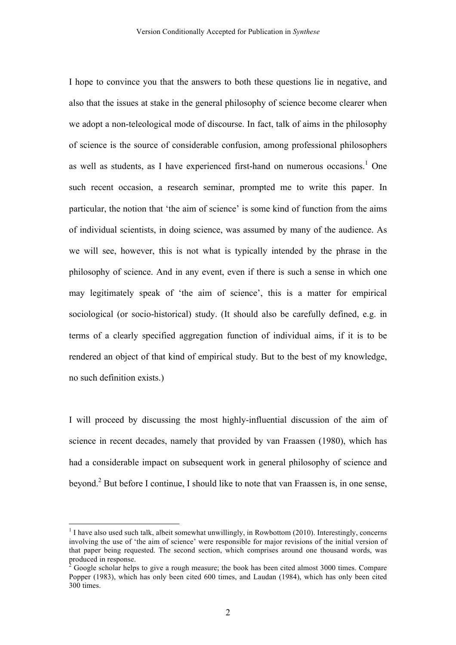I hope to convince you that the answers to both these questions lie in negative, and also that the issues at stake in the general philosophy of science become clearer when we adopt a non-teleological mode of discourse. In fact, talk of aims in the philosophy of science is the source of considerable confusion, among professional philosophers as well as students, as I have experienced first-hand on numerous occasions. $<sup>1</sup>$  One</sup> such recent occasion, a research seminar, prompted me to write this paper. In particular, the notion that 'the aim of science' is some kind of function from the aims of individual scientists, in doing science, was assumed by many of the audience. As we will see, however, this is not what is typically intended by the phrase in the philosophy of science. And in any event, even if there is such a sense in which one may legitimately speak of 'the aim of science', this is a matter for empirical sociological (or socio-historical) study. (It should also be carefully defined, e.g. in terms of a clearly specified aggregation function of individual aims, if it is to be rendered an object of that kind of empirical study. But to the best of my knowledge, no such definition exists.)

I will proceed by discussing the most highly-influential discussion of the aim of science in recent decades, namely that provided by van Fraassen (1980), which has had a considerable impact on subsequent work in general philosophy of science and beyond.<sup>2</sup> But before I continue, I should like to note that van Fraassen is, in one sense,

 $<sup>1</sup>$  I have also used such talk, albeit somewhat unwillingly, in Rowbottom (2010). Interestingly, concerns</sup> involving the use of 'the aim of science' were responsible for major revisions of the initial version of that paper being requested. The second section, which comprises around one thousand words, was  $\frac{1}{2}$  produced in response.

<sup>2</sup> Google scholar helps to give a rough measure; the book has been cited almost 3000 times. Compare Popper (1983), which has only been cited 600 times, and Laudan (1984), which has only been cited 300 times.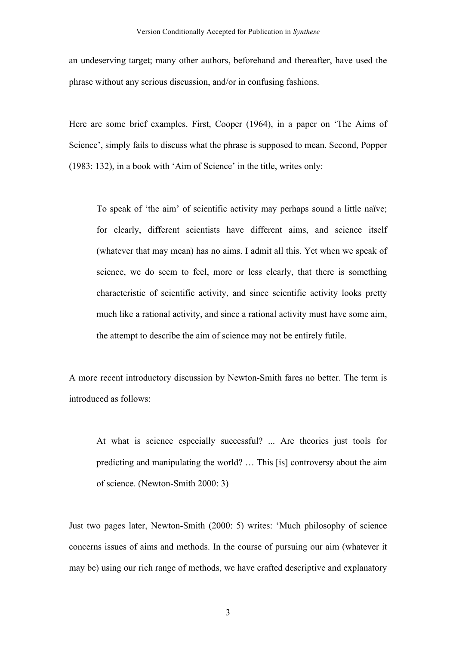an undeserving target; many other authors, beforehand and thereafter, have used the phrase without any serious discussion, and/or in confusing fashions.

Here are some brief examples. First, Cooper (1964), in a paper on 'The Aims of Science', simply fails to discuss what the phrase is supposed to mean. Second, Popper (1983: 132), in a book with 'Aim of Science' in the title, writes only:

To speak of 'the aim' of scientific activity may perhaps sound a little naïve; for clearly, different scientists have different aims, and science itself (whatever that may mean) has no aims. I admit all this. Yet when we speak of science, we do seem to feel, more or less clearly, that there is something characteristic of scientific activity, and since scientific activity looks pretty much like a rational activity, and since a rational activity must have some aim, the attempt to describe the aim of science may not be entirely futile.

A more recent introductory discussion by Newton-Smith fares no better. The term is introduced as follows:

At what is science especially successful? ... Are theories just tools for predicting and manipulating the world? … This [is] controversy about the aim of science. (Newton-Smith 2000: 3)

Just two pages later, Newton-Smith (2000: 5) writes: 'Much philosophy of science concerns issues of aims and methods. In the course of pursuing our aim (whatever it may be) using our rich range of methods, we have crafted descriptive and explanatory

3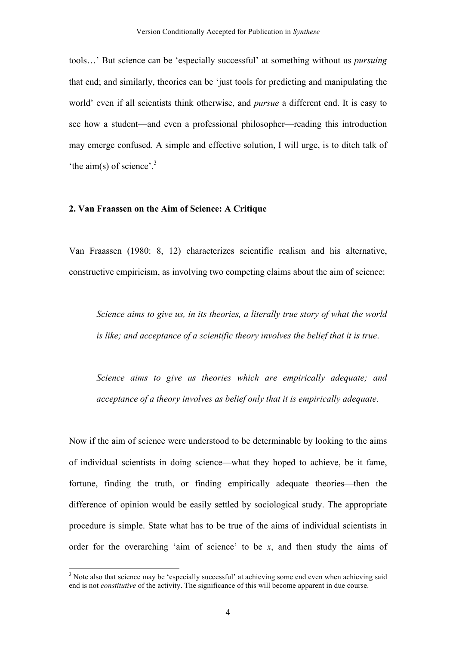tools…' But science can be 'especially successful' at something without us *pursuing* that end; and similarly, theories can be 'just tools for predicting and manipulating the world' even if all scientists think otherwise, and *pursue* a different end. It is easy to see how a student—and even a professional philosopher—reading this introduction may emerge confused. A simple and effective solution, I will urge, is to ditch talk of 'the aim(s) of science'.<sup>3</sup>

### **2. Van Fraassen on the Aim of Science: A Critique**

Van Fraassen (1980: 8, 12) characterizes scientific realism and his alternative, constructive empiricism, as involving two competing claims about the aim of science:

*Science aims to give us, in its theories, a literally true story of what the world is like; and acceptance of a scientific theory involves the belief that it is true*.

*Science aims to give us theories which are empirically adequate; and acceptance of a theory involves as belief only that it is empirically adequate*.

Now if the aim of science were understood to be determinable by looking to the aims of individual scientists in doing science—what they hoped to achieve, be it fame, fortune, finding the truth, or finding empirically adequate theories—then the difference of opinion would be easily settled by sociological study. The appropriate procedure is simple. State what has to be true of the aims of individual scientists in order for the overarching 'aim of science' to be *x*, and then study the aims of

<sup>&</sup>lt;sup>3</sup> Note also that science may be 'especially successful' at achieving some end even when achieving said end is not *constitutive* of the activity. The significance of this will become apparent in due course.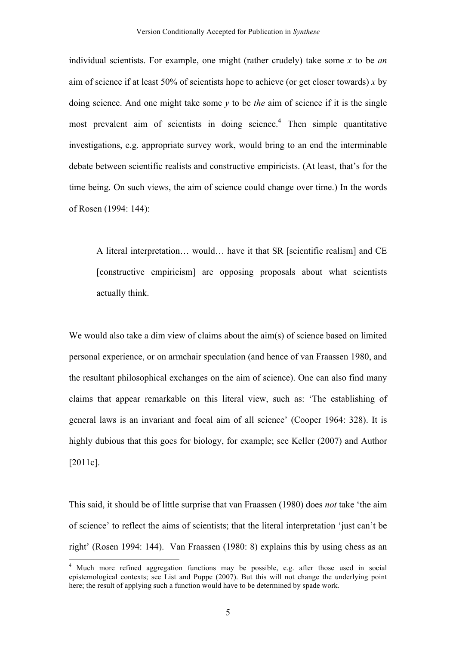individual scientists. For example, one might (rather crudely) take some *x* to be *an* aim of science if at least 50% of scientists hope to achieve (or get closer towards) *x* by doing science. And one might take some *y* to be *the* aim of science if it is the single most prevalent aim of scientists in doing science.<sup>4</sup> Then simple quantitative investigations, e.g. appropriate survey work, would bring to an end the interminable debate between scientific realists and constructive empiricists. (At least, that's for the time being. On such views, the aim of science could change over time.) In the words of Rosen (1994: 144):

A literal interpretation… would… have it that SR [scientific realism] and CE [constructive empiricism] are opposing proposals about what scientists actually think.

We would also take a dim view of claims about the aim(s) of science based on limited personal experience, or on armchair speculation (and hence of van Fraassen 1980, and the resultant philosophical exchanges on the aim of science). One can also find many claims that appear remarkable on this literal view, such as: 'The establishing of general laws is an invariant and focal aim of all science' (Cooper 1964: 328). It is highly dubious that this goes for biology, for example; see Keller (2007) and Author [2011c].

This said, it should be of little surprise that van Fraassen (1980) does *not* take 'the aim of science' to reflect the aims of scientists; that the literal interpretation 'just can't be right' (Rosen 1994: 144). Van Fraassen (1980: 8) explains this by using chess as an

 <sup>4</sup> Much more refined aggregation functions may be possible, e.g. after those used in social epistemological contexts; see List and Puppe (2007). But this will not change the underlying point here; the result of applying such a function would have to be determined by spade work.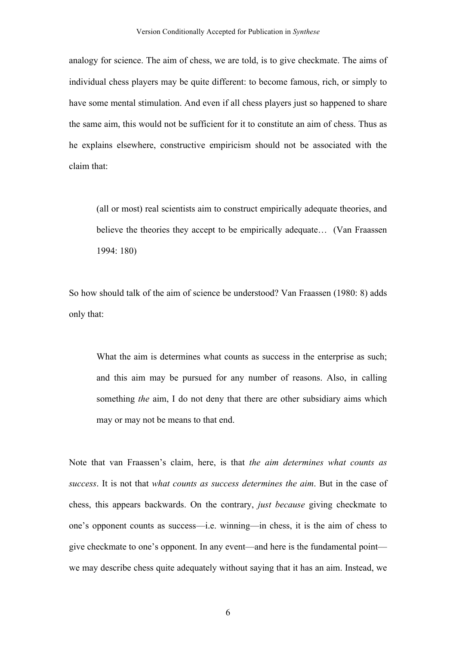analogy for science. The aim of chess, we are told, is to give checkmate. The aims of individual chess players may be quite different: to become famous, rich, or simply to have some mental stimulation. And even if all chess players just so happened to share the same aim, this would not be sufficient for it to constitute an aim of chess. Thus as he explains elsewhere, constructive empiricism should not be associated with the claim that:

(all or most) real scientists aim to construct empirically adequate theories, and believe the theories they accept to be empirically adequate... (Van Fraassen 1994: 180)

So how should talk of the aim of science be understood? Van Fraassen (1980: 8) adds only that:

What the aim is determines what counts as success in the enterprise as such; and this aim may be pursued for any number of reasons. Also, in calling something *the* aim, I do not deny that there are other subsidiary aims which may or may not be means to that end.

Note that van Fraassen's claim, here, is that *the aim determines what counts as success*. It is not that *what counts as success determines the aim*. But in the case of chess, this appears backwards. On the contrary, *just because* giving checkmate to one's opponent counts as success—i.e. winning—in chess, it is the aim of chess to give checkmate to one's opponent. In any event—and here is the fundamental point we may describe chess quite adequately without saying that it has an aim. Instead, we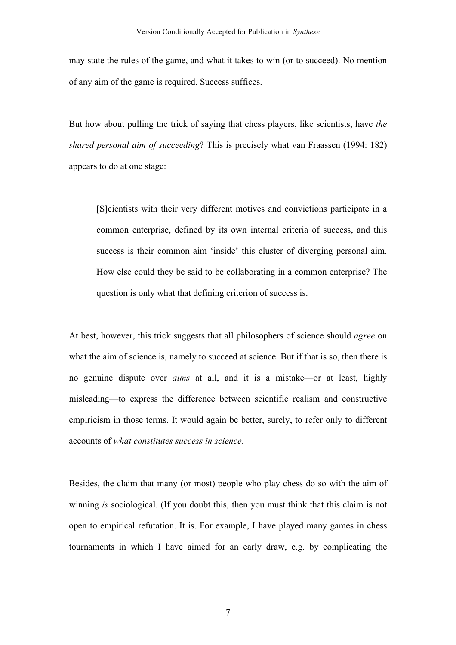may state the rules of the game, and what it takes to win (or to succeed). No mention of any aim of the game is required. Success suffices.

But how about pulling the trick of saying that chess players, like scientists, have *the shared personal aim of succeeding*? This is precisely what van Fraassen (1994: 182) appears to do at one stage:

[S]cientists with their very different motives and convictions participate in a common enterprise, defined by its own internal criteria of success, and this success is their common aim 'inside' this cluster of diverging personal aim. How else could they be said to be collaborating in a common enterprise? The question is only what that defining criterion of success is.

At best, however, this trick suggests that all philosophers of science should *agree* on what the aim of science is, namely to succeed at science. But if that is so, then there is no genuine dispute over *aims* at all, and it is a mistake—or at least, highly misleading—to express the difference between scientific realism and constructive empiricism in those terms. It would again be better, surely, to refer only to different accounts of *what constitutes success in science*.

Besides, the claim that many (or most) people who play chess do so with the aim of winning *is* sociological. (If you doubt this, then you must think that this claim is not open to empirical refutation. It is. For example, I have played many games in chess tournaments in which I have aimed for an early draw, e.g. by complicating the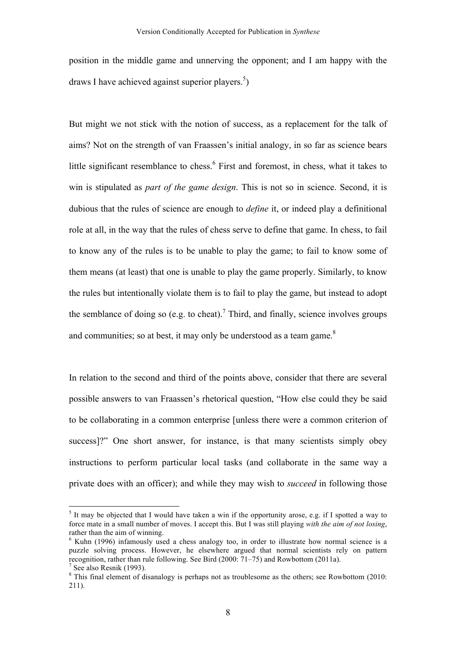position in the middle game and unnerving the opponent; and I am happy with the draws I have achieved against superior players.<sup>5</sup>)

But might we not stick with the notion of success, as a replacement for the talk of aims? Not on the strength of van Fraassen's initial analogy, in so far as science bears little significant resemblance to chess.<sup>6</sup> First and foremost, in chess, what it takes to win is stipulated as *part of the game design*. This is not so in science. Second, it is dubious that the rules of science are enough to *define* it, or indeed play a definitional role at all, in the way that the rules of chess serve to define that game. In chess, to fail to know any of the rules is to be unable to play the game; to fail to know some of them means (at least) that one is unable to play the game properly. Similarly, to know the rules but intentionally violate them is to fail to play the game, but instead to adopt the semblance of doing so (e.g. to cheat).<sup>7</sup> Third, and finally, science involves groups and communities; so at best, it may only be understood as a team game. $8<sup>8</sup>$ 

In relation to the second and third of the points above, consider that there are several possible answers to van Fraassen's rhetorical question, "How else could they be said to be collaborating in a common enterprise [unless there were a common criterion of success]?" One short answer, for instance, is that many scientists simply obey instructions to perform particular local tasks (and collaborate in the same way a private does with an officer); and while they may wish to *succeed* in following those

 $5$  It may be objected that I would have taken a win if the opportunity arose, e.g. if I spotted a way to force mate in a small number of moves. I accept this. But I was still playing *with the aim of not losing*, rather than the aim of winning.

<sup>&</sup>lt;sup>6</sup> Kuhn (1996) infamously used a chess analogy too, in order to illustrate how normal science is a puzzle solving process. However, he elsewhere argued that normal scientists rely on pattern recognition, rather than rule following. See Bird  $(2000: 71-75)$  and Rowbottom  $(2011a)$ . <sup>7</sup> See also Resnik (1993). <sup>8</sup> This final element of disanalogy is perhaps not as troublesome as the others; see Rowbottom (2010:

<sup>211).</sup>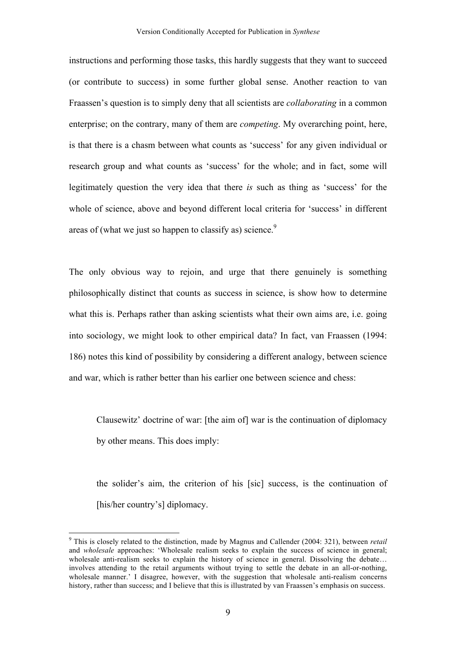instructions and performing those tasks, this hardly suggests that they want to succeed (or contribute to success) in some further global sense. Another reaction to van Fraassen's question is to simply deny that all scientists are *collaborating* in a common enterprise; on the contrary, many of them are *competing*. My overarching point, here, is that there is a chasm between what counts as 'success' for any given individual or research group and what counts as 'success' for the whole; and in fact, some will legitimately question the very idea that there *is* such as thing as 'success' for the whole of science, above and beyond different local criteria for 'success' in different areas of (what we just so happen to classify as) science.<sup>9</sup>

The only obvious way to rejoin, and urge that there genuinely is something philosophically distinct that counts as success in science, is show how to determine what this is. Perhaps rather than asking scientists what their own aims are, i.e. going into sociology, we might look to other empirical data? In fact, van Fraassen (1994: 186) notes this kind of possibility by considering a different analogy, between science and war, which is rather better than his earlier one between science and chess:

Clausewitz' doctrine of war: [the aim of] war is the continuation of diplomacy by other means. This does imply:

the solider's aim, the criterion of his [sic] success, is the continuation of [his/her country's] diplomacy.

 <sup>9</sup> This is closely related to the distinction, made by Magnus and Callender (2004: 321), between *retail*  and *wholesale* approaches: 'Wholesale realism seeks to explain the success of science in general; wholesale anti-realism seeks to explain the history of science in general. Dissolving the debate... involves attending to the retail arguments without trying to settle the debate in an all-or-nothing, wholesale manner.' I disagree, however, with the suggestion that wholesale anti-realism concerns history, rather than success; and I believe that this is illustrated by van Fraassen's emphasis on success.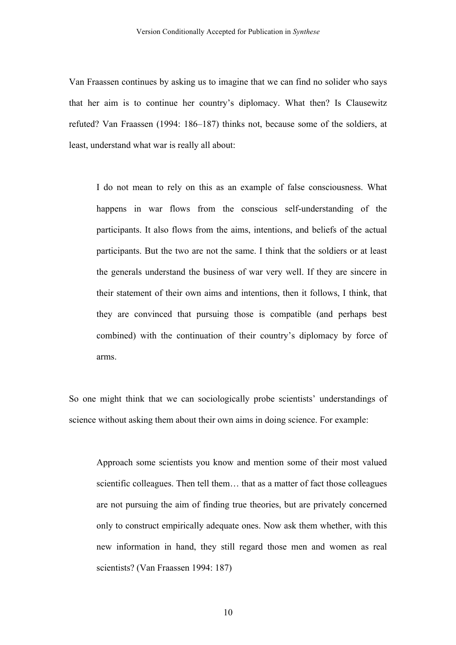Van Fraassen continues by asking us to imagine that we can find no solider who says that her aim is to continue her country's diplomacy. What then? Is Clausewitz refuted? Van Fraassen (1994: 186–187) thinks not, because some of the soldiers, at least, understand what war is really all about:

I do not mean to rely on this as an example of false consciousness. What happens in war flows from the conscious self-understanding of the participants. It also flows from the aims, intentions, and beliefs of the actual participants. But the two are not the same. I think that the soldiers or at least the generals understand the business of war very well. If they are sincere in their statement of their own aims and intentions, then it follows, I think, that they are convinced that pursuing those is compatible (and perhaps best combined) with the continuation of their country's diplomacy by force of arms.

So one might think that we can sociologically probe scientists' understandings of science without asking them about their own aims in doing science. For example:

Approach some scientists you know and mention some of their most valued scientific colleagues. Then tell them… that as a matter of fact those colleagues are not pursuing the aim of finding true theories, but are privately concerned only to construct empirically adequate ones. Now ask them whether, with this new information in hand, they still regard those men and women as real scientists? (Van Fraassen 1994: 187)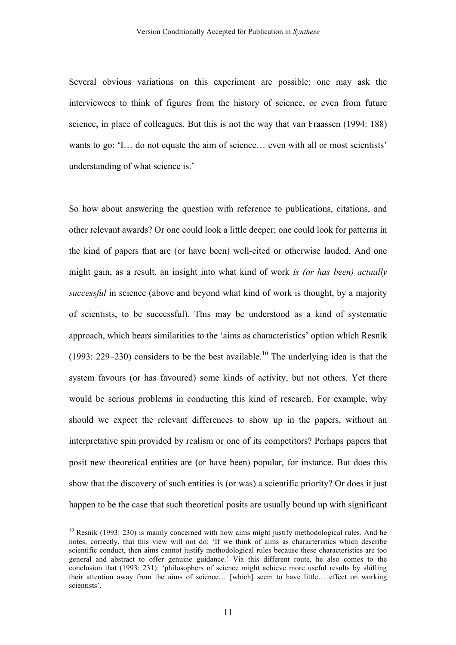Several obvious variations on this experiment are possible; one may ask the interviewees to think of figures from the history of science, or even from future science, in place of colleagues. But this is not the way that van Fraassen (1994: 188) wants to go: 'I... do not equate the aim of science... even with all or most scientists' understanding of what science is.'

So how about answering the question with reference to publications, citations, and other relevant awards? Or one could look a little deeper; one could look for patterns in the kind of papers that are (or have been) well-cited or otherwise lauded. And one might gain, as a result, an insight into what kind of work *is (or has been) actually successful* in science (above and beyond what kind of work is thought, by a majority of scientists, to be successful). This may be understood as a kind of systematic approach, which bears similarities to the 'aims as characteristics' option which Resnik (1993: 229–230) considers to be the best available.<sup>10</sup> The underlying idea is that the system favours (or has favoured) some kinds of activity, but not others. Yet there would be serious problems in conducting this kind of research. For example, why should we expect the relevant differences to show up in the papers, without an interpretative spin provided by realism or one of its competitors? Perhaps papers that posit new theoretical entities are (or have been) popular, for instance. But does this show that the discovery of such entities is (or was) a scientific priority? Or does it just happen to be the case that such theoretical posits are usually bound up with significant

 $10$  Resnik (1993: 230) is mainly concerned with how aims might justify methodological rules. And he notes, correctly, that this view will not do: 'If we think of aims as characteristics which describe scientific conduct, then aims cannot justify methodological rules because these characteristics are too general and abstract to offer genuine guidance.' Via this different route, he also comes to the conclusion that (1993: 231): 'philosophers of science might achieve more useful results by shifting their attention away from the aims of science… [which] seem to have little… effect on working scientists'.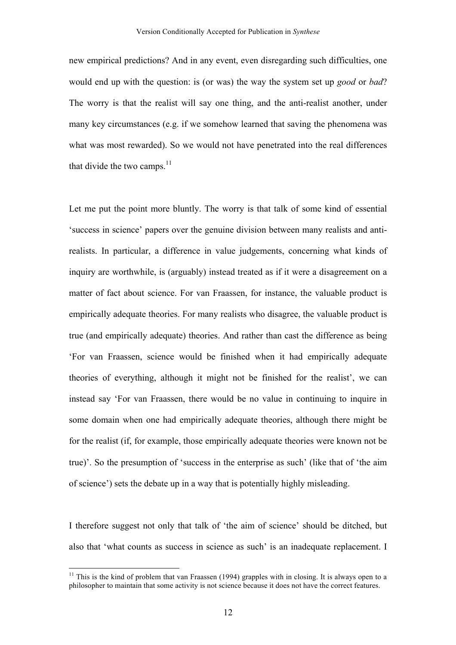new empirical predictions? And in any event, even disregarding such difficulties, one would end up with the question: is (or was) the way the system set up *good* or *bad*? The worry is that the realist will say one thing, and the anti-realist another, under many key circumstances (e.g. if we somehow learned that saving the phenomena was what was most rewarded). So we would not have penetrated into the real differences that divide the two camps. $^{11}$ 

Let me put the point more bluntly. The worry is that talk of some kind of essential 'success in science' papers over the genuine division between many realists and antirealists. In particular, a difference in value judgements, concerning what kinds of inquiry are worthwhile, is (arguably) instead treated as if it were a disagreement on a matter of fact about science. For van Fraassen, for instance, the valuable product is empirically adequate theories. For many realists who disagree, the valuable product is true (and empirically adequate) theories. And rather than cast the difference as being 'For van Fraassen, science would be finished when it had empirically adequate theories of everything, although it might not be finished for the realist', we can instead say 'For van Fraassen, there would be no value in continuing to inquire in some domain when one had empirically adequate theories, although there might be for the realist (if, for example, those empirically adequate theories were known not be true)'. So the presumption of 'success in the enterprise as such' (like that of 'the aim of science') sets the debate up in a way that is potentially highly misleading.

I therefore suggest not only that talk of 'the aim of science' should be ditched, but also that 'what counts as success in science as such' is an inadequate replacement. I

 $11$  This is the kind of problem that van Fraassen (1994) grapples with in closing. It is always open to a philosopher to maintain that some activity is not science because it does not have the correct features.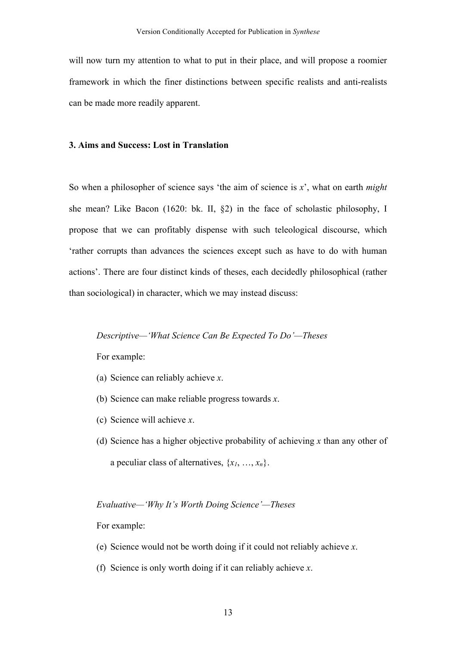will now turn my attention to what to put in their place, and will propose a roomier framework in which the finer distinctions between specific realists and anti-realists can be made more readily apparent.

#### **3. Aims and Success: Lost in Translation**

So when a philosopher of science says 'the aim of science is *x*', what on earth *might*  she mean? Like Bacon (1620: bk. II, §2) in the face of scholastic philosophy, I propose that we can profitably dispense with such teleological discourse, which 'rather corrupts than advances the sciences except such as have to do with human actions'. There are four distinct kinds of theses, each decidedly philosophical (rather than sociological) in character, which we may instead discuss:

#### *Descriptive—'What Science Can Be Expected To Do'—Theses*

For example:

- (a) Science can reliably achieve *x*.
- (b) Science can make reliable progress towards *x*.
- (c) Science will achieve *x*.
- (d) Science has a higher objective probability of achieving *x* than any other of a peculiar class of alternatives,  $\{x_1, \ldots, x_n\}$ .

#### *Evaluative—'Why It's Worth Doing Science'—Theses*

For example:

- (e) Science would not be worth doing if it could not reliably achieve *x*.
- (f) Science is only worth doing if it can reliably achieve *x*.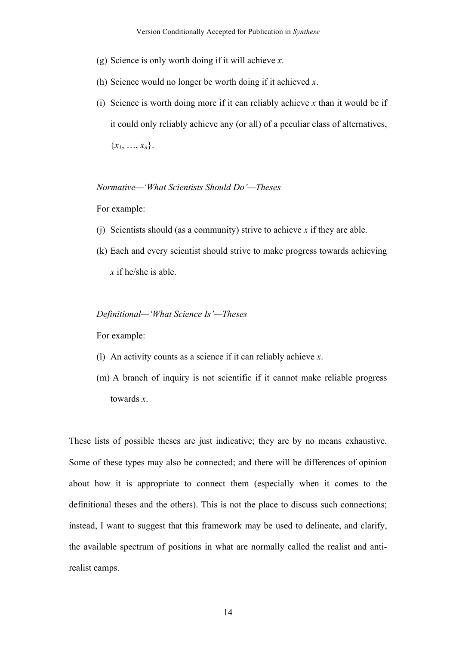- (g) Science is only worth doing if it will achieve *x*.
- (h) Science would no longer be worth doing if it achieved *x*.
- (i) Science is worth doing more if it can reliably achieve *x* than it would be if it could only reliably achieve any (or all) of a peculiar class of alternatives,  ${x_1, ..., x_n}.$

#### *Normative—'What Scientists Should Do'—Theses*

For example:

- (j) Scientists should (as a community) strive to achieve *x* if they are able.
- (k) Each and every scientist should strive to make progress towards achieving *x* if he/she is able.

## *Definitional—'What Science Is'—Theses*

For example:

- (l) An activity counts as a science if it can reliably achieve *x*.
- (m) A branch of inquiry is not scientific if it cannot make reliable progress towards *x*.

These lists of possible theses are just indicative; they are by no means exhaustive. Some of these types may also be connected; and there will be differences of opinion about how it is appropriate to connect them (especially when it comes to the definitional theses and the others). This is not the place to discuss such connections; instead, I want to suggest that this framework may be used to delineate, and clarify, the available spectrum of positions in what are normally called the realist and antirealist camps.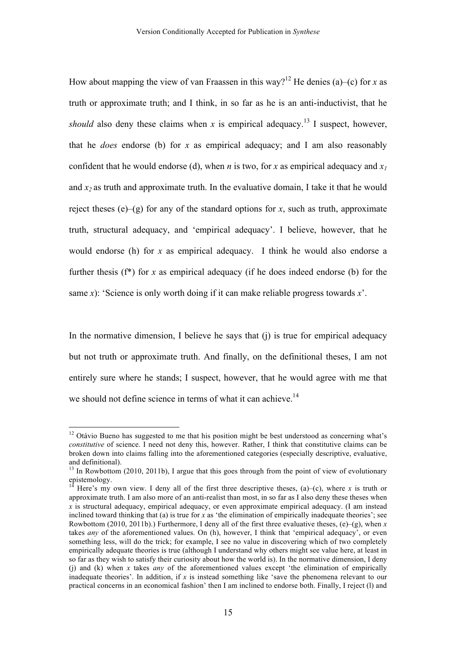How about mapping the view of van Fraassen in this way?<sup>12</sup> He denies (a)–(c) for *x* as truth or approximate truth; and I think, in so far as he is an anti-inductivist, that he *should* also deny these claims when *x* is empirical adequacy.<sup>13</sup> I suspect, however, that he *does* endorse (b) for *x* as empirical adequacy; and I am also reasonably confident that he would endorse (d), when *n* is two, for *x* as empirical adequacy and  $x_1$ and  $x_2$  as truth and approximate truth. In the evaluative domain, I take it that he would reject theses (e)–(g) for any of the standard options for *x*, such as truth, approximate truth, structural adequacy, and 'empirical adequacy'. I believe, however, that he would endorse (h) for *x* as empirical adequacy. I think he would also endorse a further thesis (f\*) for *x* as empirical adequacy (if he does indeed endorse (b) for the same *x*): 'Science is only worth doing if it can make reliable progress towards *x*'.

In the normative dimension, I believe he says that  $(i)$  is true for empirical adequacy but not truth or approximate truth. And finally, on the definitional theses, I am not entirely sure where he stands; I suspect, however, that he would agree with me that we should not define science in terms of what it can achieve.<sup>14</sup>

 $12$  Otávio Bueno has suggested to me that his position might be best understood as concerning what's *constitutive* of science. I need not deny this, however. Rather, I think that constitutive claims can be broken down into claims falling into the aforementioned categories (especially descriptive, evaluative, and definitional).

<sup>&</sup>lt;sup>13</sup> In Rowbottom (2010, 2011b), I argue that this goes through from the point of view of evolutionary epistemology.

Here's my own view. I deny all of the first three descriptive theses,  $(a)$ – $(c)$ , where *x* is truth or approximate truth. I am also more of an anti-realist than most, in so far as I also deny these theses when *x* is structural adequacy, empirical adequacy, or even approximate empirical adequacy. (I am instead inclined toward thinking that (a) is true for *x* as 'the elimination of empirically inadequate theories'; see Rowbottom (2010, 2011b).) Furthermore, I deny all of the first three evaluative theses, (e)–(g), when *x*  takes *any* of the aforementioned values. On (h), however, I think that 'empirical adequacy', or even something less, will do the trick; for example, I see no value in discovering which of two completely empirically adequate theories is true (although I understand why others might see value here, at least in so far as they wish to satisfy their curiosity about how the world is). In the normative dimension, I deny (j) and (k) when *x* takes *any* of the aforementioned values except 'the elimination of empirically inadequate theories'. In addition, if *x* is instead something like 'save the phenomena relevant to our practical concerns in an economical fashion' then I am inclined to endorse both. Finally, I reject (l) and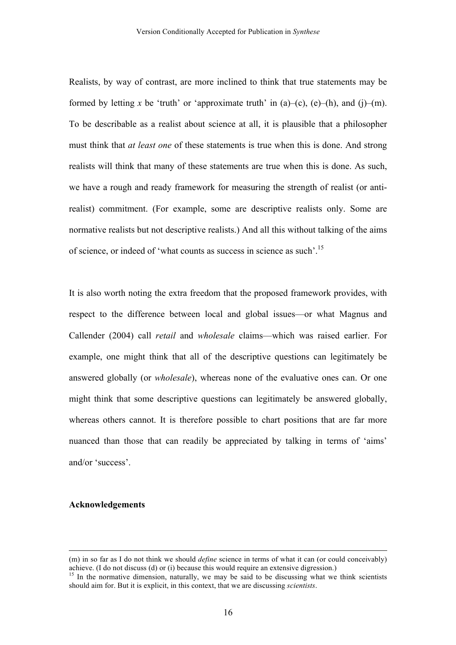Realists, by way of contrast, are more inclined to think that true statements may be formed by letting x be 'truth' or 'approximate truth' in  $(a)$ – $(c)$ ,  $(e)$ – $(h)$ , and  $(i)$ – $(m)$ . To be describable as a realist about science at all, it is plausible that a philosopher must think that *at least one* of these statements is true when this is done. And strong realists will think that many of these statements are true when this is done. As such, we have a rough and ready framework for measuring the strength of realist (or antirealist) commitment. (For example, some are descriptive realists only. Some are normative realists but not descriptive realists.) And all this without talking of the aims of science, or indeed of 'what counts as success in science as such'.15

It is also worth noting the extra freedom that the proposed framework provides, with respect to the difference between local and global issues—or what Magnus and Callender (2004) call *retail* and *wholesale* claims—which was raised earlier. For example, one might think that all of the descriptive questions can legitimately be answered globally (or *wholesale*), whereas none of the evaluative ones can. Or one might think that some descriptive questions can legitimately be answered globally, whereas others cannot. It is therefore possible to chart positions that are far more nuanced than those that can readily be appreciated by talking in terms of 'aims' and/or 'success'.

## **Acknowledgements**

<sup>&</sup>lt;u> 1989 - Johann Stein, marwolaethau a bhann an chomhair an chomhair an chomhair an chomhair an chomhair an chom</u> (m) in so far as I do not think we should *define* science in terms of what it can (or could conceivably) achieve. (I do not discuss (d) or (i) because this would require an extensive digression.)

<sup>&</sup>lt;sup>15</sup> In the normative dimension, naturally, we may be said to be discussing what we think scientists should aim for. But it is explicit, in this context, that we are discussing *scientists*.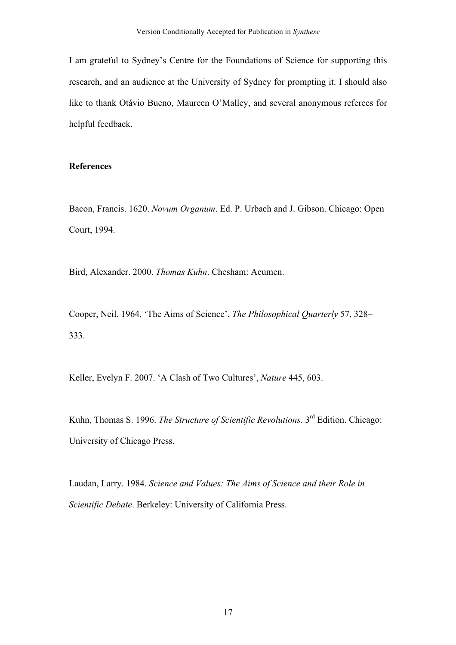I am grateful to Sydney's Centre for the Foundations of Science for supporting this research, and an audience at the University of Sydney for prompting it. I should also like to thank Otávio Bueno, Maureen O'Malley, and several anonymous referees for helpful feedback.

## **References**

Bacon, Francis. 1620. *Novum Organum*. Ed. P. Urbach and J. Gibson. Chicago: Open Court, 1994.

Bird, Alexander. 2000. *Thomas Kuhn*. Chesham: Acumen.

Cooper, Neil. 1964. 'The Aims of Science', *The Philosophical Quarterly* 57, 328– 333.

Keller, Evelyn F. 2007. 'A Clash of Two Cultures', *Nature* 445, 603.

Kuhn, Thomas S. 1996. *The Structure of Scientific Revolutions*. 3rd Edition. Chicago: University of Chicago Press.

Laudan, Larry. 1984. *Science and Values: The Aims of Science and their Role in Scientific Debate*. Berkeley: University of California Press.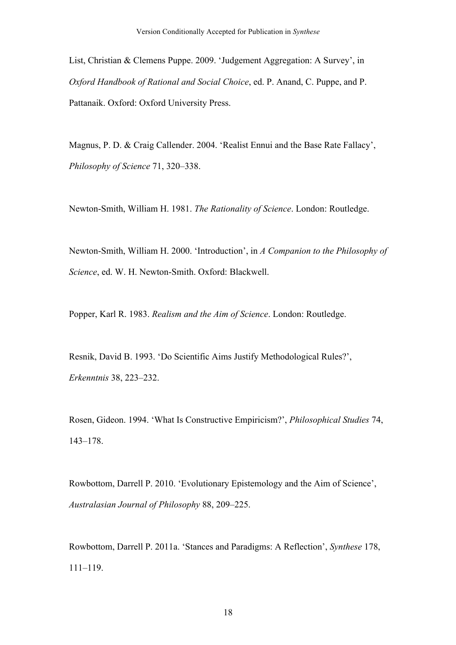List, Christian & Clemens Puppe. 2009. 'Judgement Aggregation: A Survey', in *Oxford Handbook of Rational and Social Choice*, ed. P. Anand, C. Puppe, and P. Pattanaik. Oxford: Oxford University Press.

Magnus, P. D. & Craig Callender. 2004. 'Realist Ennui and the Base Rate Fallacy', *Philosophy of Science* 71, 320–338.

Newton-Smith, William H. 1981. *The Rationality of Science*. London: Routledge.

Newton-Smith, William H. 2000. 'Introduction', in *A Companion to the Philosophy of Science*, ed. W. H. Newton-Smith. Oxford: Blackwell.

Popper, Karl R. 1983. *Realism and the Aim of Science*. London: Routledge.

Resnik, David B. 1993. 'Do Scientific Aims Justify Methodological Rules?', *Erkenntnis* 38, 223–232.

Rosen, Gideon. 1994. 'What Is Constructive Empiricism?', *Philosophical Studies* 74, 143–178.

Rowbottom, Darrell P. 2010. 'Evolutionary Epistemology and the Aim of Science', *Australasian Journal of Philosophy* 88, 209–225.

Rowbottom, Darrell P. 2011a. 'Stances and Paradigms: A Reflection', *Synthese* 178, 111–119.